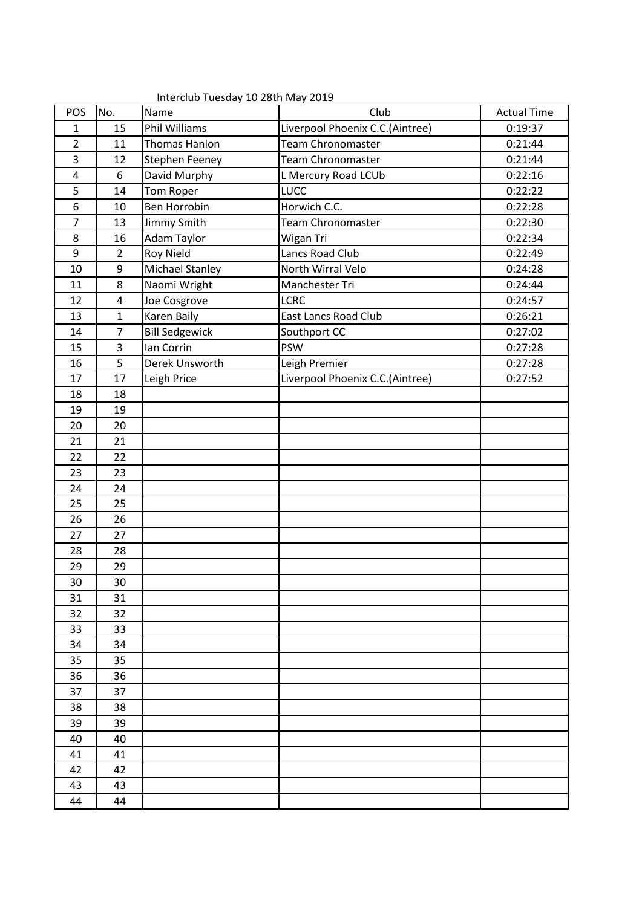|                |                | $\cdots$ . $\cdots$ . $\cdots$ . $\cdots$ . $\cdots$ . $\cdots$ . $\cdots$ . $\cdots$ . $\cdots$ . $\cdots$ . $\cdots$ . $\cdots$ . $\cdots$ . $\cdots$ . $\cdots$ . $\cdots$ . $\cdots$ . $\cdots$ . $\cdots$ . $\cdots$ . $\cdots$ . $\cdots$ . $\cdots$ . $\cdots$ . $\cdots$ . $\cdots$ . $\cdots$ . $\cdots$ |                                 |                    |
|----------------|----------------|-------------------------------------------------------------------------------------------------------------------------------------------------------------------------------------------------------------------------------------------------------------------------------------------------------------------|---------------------------------|--------------------|
| POS            | No.            | Name                                                                                                                                                                                                                                                                                                              | Club                            | <b>Actual Time</b> |
| 1              | 15             | <b>Phil Williams</b>                                                                                                                                                                                                                                                                                              | Liverpool Phoenix C.C.(Aintree) | 0:19:37            |
| $\overline{2}$ | 11             | Thomas Hanlon                                                                                                                                                                                                                                                                                                     | <b>Team Chronomaster</b>        | 0:21:44            |
| 3              | 12             | Stephen Feeney                                                                                                                                                                                                                                                                                                    | <b>Team Chronomaster</b>        | 0:21:44            |
| $\overline{4}$ | 6              | David Murphy                                                                                                                                                                                                                                                                                                      | L Mercury Road LCUb             | 0:22:16            |
| 5              | 14             | Tom Roper                                                                                                                                                                                                                                                                                                         | <b>LUCC</b>                     | 0:22:22            |
| 6              | 10             | <b>Ben Horrobin</b>                                                                                                                                                                                                                                                                                               | Horwich C.C.                    | 0:22:28            |
| 7              | 13             | Jimmy Smith                                                                                                                                                                                                                                                                                                       | <b>Team Chronomaster</b>        | 0:22:30            |
| 8              | 16             | Adam Taylor                                                                                                                                                                                                                                                                                                       | Wigan Tri                       | 0:22:34            |
| 9              | $\overline{2}$ | <b>Roy Nield</b>                                                                                                                                                                                                                                                                                                  | Lancs Road Club                 | 0:22:49            |
| 10             | 9              | Michael Stanley                                                                                                                                                                                                                                                                                                   | North Wirral Velo               | 0:24:28            |
| 11             | 8              | Naomi Wright                                                                                                                                                                                                                                                                                                      | Manchester Tri                  | 0:24:44            |
| 12             | 4              | Joe Cosgrove                                                                                                                                                                                                                                                                                                      | <b>LCRC</b>                     | 0:24:57            |
| 13             | 1              | Karen Baily                                                                                                                                                                                                                                                                                                       | <b>East Lancs Road Club</b>     | 0:26:21            |
| 14             | $\overline{7}$ | <b>Bill Sedgewick</b>                                                                                                                                                                                                                                                                                             | Southport CC                    | 0:27:02            |
| 15             | 3              | lan Corrin                                                                                                                                                                                                                                                                                                        | <b>PSW</b>                      | 0:27:28            |
| 16             | 5              | Derek Unsworth                                                                                                                                                                                                                                                                                                    | Leigh Premier                   | 0:27:28            |
| 17             | 17             | Leigh Price                                                                                                                                                                                                                                                                                                       | Liverpool Phoenix C.C.(Aintree) | 0:27:52            |
| 18             | 18             |                                                                                                                                                                                                                                                                                                                   |                                 |                    |
| 19             | 19             |                                                                                                                                                                                                                                                                                                                   |                                 |                    |
| 20             | 20             |                                                                                                                                                                                                                                                                                                                   |                                 |                    |
| 21             | 21             |                                                                                                                                                                                                                                                                                                                   |                                 |                    |
| 22             | 22             |                                                                                                                                                                                                                                                                                                                   |                                 |                    |
| 23             | 23             |                                                                                                                                                                                                                                                                                                                   |                                 |                    |
| 24             | 24             |                                                                                                                                                                                                                                                                                                                   |                                 |                    |
| 25             | 25             |                                                                                                                                                                                                                                                                                                                   |                                 |                    |
| 26             | 26             |                                                                                                                                                                                                                                                                                                                   |                                 |                    |
| 27             | 27             |                                                                                                                                                                                                                                                                                                                   |                                 |                    |
| 28             | 28             |                                                                                                                                                                                                                                                                                                                   |                                 |                    |
| 29             | 29             |                                                                                                                                                                                                                                                                                                                   |                                 |                    |
| 30             | 30             |                                                                                                                                                                                                                                                                                                                   |                                 |                    |
| 31             | 31             |                                                                                                                                                                                                                                                                                                                   |                                 |                    |
| 32             | 32             |                                                                                                                                                                                                                                                                                                                   |                                 |                    |
| 33             | 33             |                                                                                                                                                                                                                                                                                                                   |                                 |                    |
| 34             | 34             |                                                                                                                                                                                                                                                                                                                   |                                 |                    |
| 35             | 35             |                                                                                                                                                                                                                                                                                                                   |                                 |                    |
| 36             | 36             |                                                                                                                                                                                                                                                                                                                   |                                 |                    |
| 37             | 37             |                                                                                                                                                                                                                                                                                                                   |                                 |                    |
| 38             | 38             |                                                                                                                                                                                                                                                                                                                   |                                 |                    |
| 39             | 39             |                                                                                                                                                                                                                                                                                                                   |                                 |                    |
| 40             | 40             |                                                                                                                                                                                                                                                                                                                   |                                 |                    |
| 41             | 41             |                                                                                                                                                                                                                                                                                                                   |                                 |                    |
| 42             | 42             |                                                                                                                                                                                                                                                                                                                   |                                 |                    |
| 43             | 43             |                                                                                                                                                                                                                                                                                                                   |                                 |                    |
| 44             | 44             |                                                                                                                                                                                                                                                                                                                   |                                 |                    |

Interclub Tuesday 10 28th May 2019